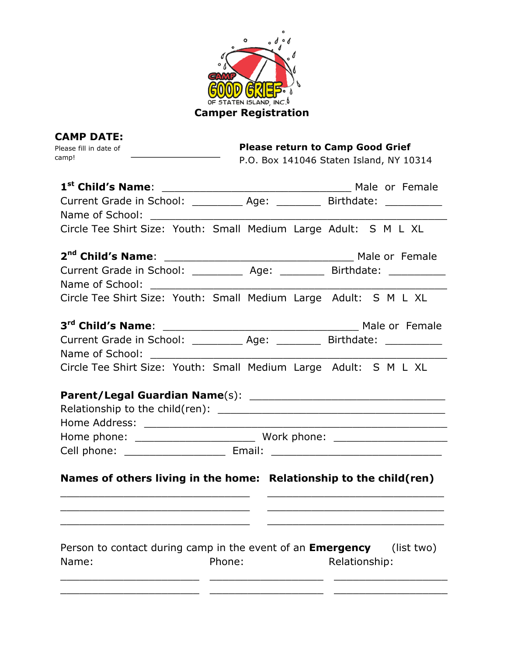

| <b>CAMP DATE:</b>                                                          |                                                                                 |  |  |
|----------------------------------------------------------------------------|---------------------------------------------------------------------------------|--|--|
| Please fill in date of<br>camp!                                            | <b>Please return to Camp Good Grief</b>                                         |  |  |
|                                                                            | P.O. Box 141046 Staten Island, NY 10314                                         |  |  |
| 1 <sup>st</sup> Child's Name:                                              |                                                                                 |  |  |
|                                                                            | Current Grade in School: ____________ Age: __________ Birthdate: ______________ |  |  |
|                                                                            |                                                                                 |  |  |
|                                                                            | Circle Tee Shirt Size: Youth: Small Medium Large Adult: S M L XL                |  |  |
| 2 <sup>nd</sup> Child's Name:                                              | Male or Female                                                                  |  |  |
|                                                                            | Current Grade in School: ____________ Age: __________ Birthdate: ______________ |  |  |
|                                                                            |                                                                                 |  |  |
|                                                                            | Circle Tee Shirt Size: Youth: Small Medium Large Adult: S M L XL                |  |  |
|                                                                            |                                                                                 |  |  |
|                                                                            | Current Grade in School: ____________ Age: __________ Birthdate: ______________ |  |  |
|                                                                            |                                                                                 |  |  |
|                                                                            | Circle Tee Shirt Size: Youth: Small Medium Large Adult: S M L XL                |  |  |
|                                                                            |                                                                                 |  |  |
|                                                                            |                                                                                 |  |  |
|                                                                            |                                                                                 |  |  |
|                                                                            |                                                                                 |  |  |
|                                                                            |                                                                                 |  |  |
|                                                                            |                                                                                 |  |  |
|                                                                            | Names of others living in the home: Relationship to the child(ren)              |  |  |
|                                                                            |                                                                                 |  |  |
|                                                                            |                                                                                 |  |  |
|                                                                            |                                                                                 |  |  |
| Person to contact during camp in the event of an <b>Emergency</b><br>Name: | (list two)<br>Phone:<br>Relationship:                                           |  |  |
|                                                                            |                                                                                 |  |  |
|                                                                            |                                                                                 |  |  |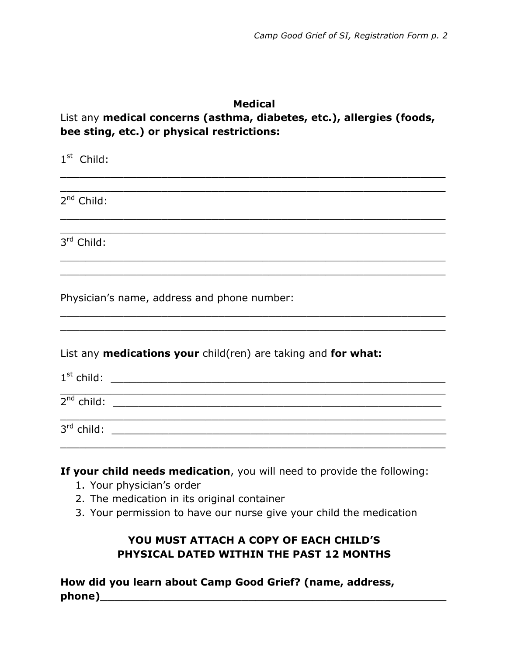## **Medical**

## List any **medical concerns (asthma, diabetes, etc.), allergies (foods, bee sting, etc.) or physical restrictions:**

 $\_$  , and the set of the set of the set of the set of the set of the set of the set of the set of the set of the set of the set of the set of the set of the set of the set of the set of the set of the set of the set of th  $\_$  , and the set of the set of the set of the set of the set of the set of the set of the set of the set of the set of the set of the set of the set of the set of the set of the set of the set of the set of the set of th

 $\_$  , and the set of the set of the set of the set of the set of the set of the set of the set of the set of the set of the set of the set of the set of the set of the set of the set of the set of the set of the set of th  $\_$  , and the set of the set of the set of the set of the set of the set of the set of the set of the set of the set of the set of the set of the set of the set of the set of the set of the set of the set of the set of th

 $\_$  , and the set of the set of the set of the set of the set of the set of the set of the set of the set of the set of the set of the set of the set of the set of the set of the set of the set of the set of the set of th \_\_\_\_\_\_\_\_\_\_\_\_\_\_\_\_\_\_\_\_\_\_\_\_\_\_\_\_\_\_\_\_\_\_\_\_\_\_\_\_\_\_\_\_\_\_\_\_\_\_\_\_\_\_\_\_\_\_\_\_\_

 $\_$  , and the set of the set of the set of the set of the set of the set of the set of the set of the set of the set of the set of the set of the set of the set of the set of the set of the set of the set of the set of th  $\_$  , and the set of the set of the set of the set of the set of the set of the set of the set of the set of the set of the set of the set of the set of the set of the set of the set of the set of the set of the set of th

1<sup>st</sup> Child:

 $2^{nd}$  Child:

3rd Child:

Physician's name, address and phone number:

List any **medications your** child(ren) are taking and **for what:**

1st child: \_\_\_\_\_\_\_\_\_\_\_\_\_\_\_\_\_\_\_\_\_\_\_\_\_\_\_\_\_\_\_\_\_\_\_\_\_\_\_\_\_\_\_\_\_\_\_\_\_\_\_\_\_

 $\_$  , and the set of the set of the set of the set of the set of the set of the set of the set of the set of the set of the set of the set of the set of the set of the set of the set of the set of the set of the set of th  $2^{nd}$  child:

3rd child: \_\_\_\_\_\_\_\_\_\_\_\_\_\_\_\_\_\_\_\_\_\_\_\_\_\_\_\_\_\_\_\_\_\_\_\_\_\_\_\_\_\_\_\_\_\_\_\_\_\_\_\_\_

**If your child needs medication**, you will need to provide the following:

 $\_$  , and the set of the set of the set of the set of the set of the set of the set of the set of the set of the set of the set of the set of the set of the set of the set of the set of the set of the set of the set of th

 $\_$  , and the set of the set of the set of the set of the set of the set of the set of the set of the set of the set of the set of the set of the set of the set of the set of the set of the set of the set of the set of th

- 1. Your physician's order
- 2. The medication in its original container
- 3. Your permission to have our nurse give your child the medication

## **YOU MUST ATTACH A COPY OF EACH CHILD'S PHYSICAL DATED WITHIN THE PAST 12 MONTHS**

**How did you learn about Camp Good Grief? (name, address, phone)\_\_\_\_\_\_\_\_\_\_\_\_\_\_\_\_\_\_\_\_\_\_\_\_\_\_\_\_\_\_\_\_\_\_\_\_\_\_\_\_\_\_\_\_\_\_\_\_\_**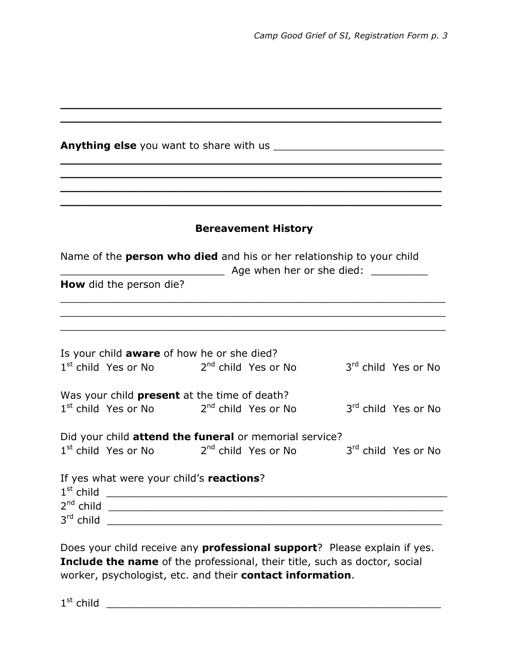|                                                                                           | <b>Bereavement History</b> |                                 |
|-------------------------------------------------------------------------------------------|----------------------------|---------------------------------|
| Name of the <b>person who died</b> and his or her relationship to your child              |                            |                                 |
| <b>How</b> did the person die?                                                            | Age when her or she died:  |                                 |
|                                                                                           |                            |                                 |
|                                                                                           |                            |                                 |
| Is your child aware of how he or she died?<br>$1st$ child Yes or No $2nd$ child Yes or No |                            | 3 <sup>rd</sup> child Yes or No |
|                                                                                           |                            |                                 |
| Was your child <b>present</b> at the time of death?                                       |                            |                                 |
| $1st$ child Yes or No $2nd$ child Yes or No                                               |                            | 3rd child Yes or No             |
| Did your child attend the funeral or memorial service?                                    |                            |                                 |
| 1 <sup>st</sup> child Yes or No 2 <sup>nd</sup> child Yes or No                           |                            | 3rd child Yes or No             |
| If yes what were your child's reactions?                                                  |                            |                                 |
|                                                                                           |                            |                                 |
|                                                                                           |                            |                                 |
|                                                                                           |                            |                                 |

Does your child receive any **professional support**? Please explain if yes. **Include the name** of the professional, their title, such as doctor, social worker, psychologist, etc. and their **contact information**.

1st child \_\_\_\_\_\_\_\_\_\_\_\_\_\_\_\_\_\_\_\_\_\_\_\_\_\_\_\_\_\_\_\_\_\_\_\_\_\_\_\_\_\_\_\_\_\_\_\_\_\_\_\_\_